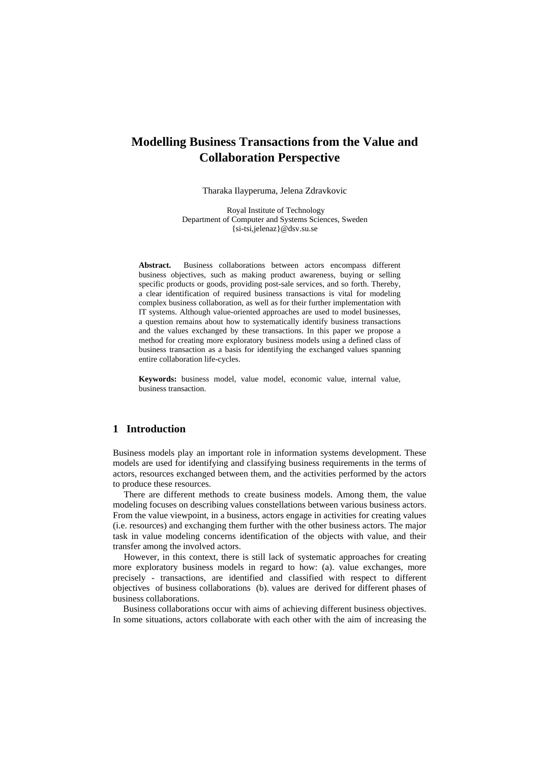# **Modelling Business Transactions from the Value and Collaboration Perspective**

Tharaka Ilayperuma, Jelena Zdravkovic

 Royal Institute of Technology Department of Computer and Systems Sciences, Sweden {si-tsi,jelenaz}@dsv.su.se

**Abstract.** Business collaborations between actors encompass different business objectives, such as making product awareness, buying or selling specific products or goods, providing post-sale services, and so forth. Thereby, a clear identification of required business transactions is vital for modeling complex business collaboration, as well as for their further implementation with IT systems. Although value-oriented approaches are used to model businesses, a question remains about how to systematically identify business transactions and the values exchanged by these transactions. In this paper we propose a method for creating more exploratory business models using a defined class of business transaction as a basis for identifying the exchanged values spanning entire collaboration life-cycles.

**Keywords:** business model, value model, economic value, internal value, business transaction.

## **1 Introduction**

Business models play an important role in information systems development. These models are used for identifying and classifying business requirements in the terms of actors, resources exchanged between them, and the activities performed by the actors to produce these resources.

There are different methods to create business models. Among them, the value modeling focuses on describing values constellations between various business actors. From the value viewpoint, in a business, actors engage in activities for creating values (i.e. resources) and exchanging them further with the other business actors. The major task in value modeling concerns identification of the objects with value, and their transfer among the involved actors.

However, in this context, there is still lack of systematic approaches for creating more exploratory business models in regard to how: (a). value exchanges, more precisely - transactions, are identified and classified with respect to different objectives of business collaborations (b). values are derived for different phases of business collaborations.

Business collaborations occur with aims of achieving different business objectives. In some situations, actors collaborate with each other with the aim of increasing the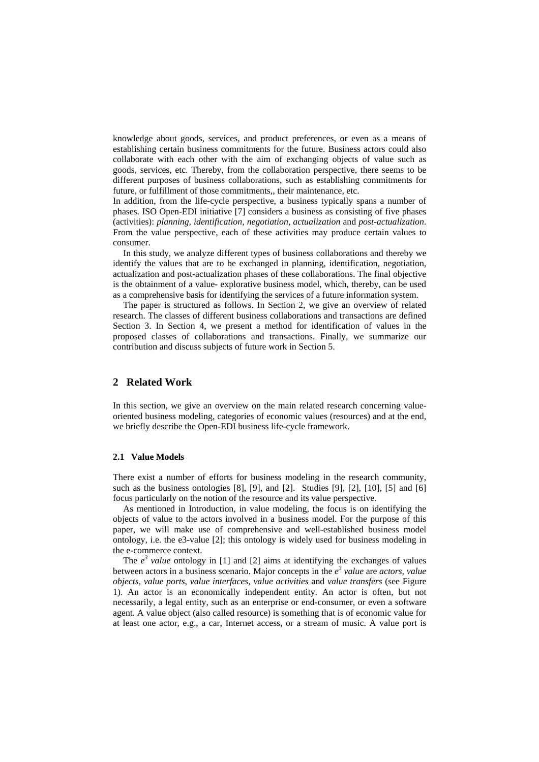knowledge about goods, services, and product preferences, or even as a means of establishing certain business commitments for the future. Business actors could also collaborate with each other with the aim of exchanging objects of value such as goods, services, etc. Thereby, from the collaboration perspective, there seems to be different purposes of business collaborations, such as establishing commitments for future, or fulfillment of those commitments,, their maintenance, etc.

In addition, from the life-cycle perspective, a business typically spans a number of phases. ISO Open-EDI initiative [7] considers a business as consisting of five phases (activities): *planning, identification, negotiation, actualization* and *post-actualization*. From the value perspective, each of these activities may produce certain values to consumer.

In this study, we analyze different types of business collaborations and thereby we identify the values that are to be exchanged in planning, identification, negotiation, actualization and post-actualization phases of these collaborations. The final objective is the obtainment of a value- explorative business model, which, thereby, can be used as a comprehensive basis for identifying the services of a future information system.

The paper is structured as follows. In Section 2, we give an overview of related research. The classes of different business collaborations and transactions are defined Section 3. In Section 4, we present a method for identification of values in the proposed classes of collaborations and transactions. Finally, we summarize our contribution and discuss subjects of future work in Section 5.

## **2 Related Work**

In this section, we give an overview on the main related research concerning valueoriented business modeling, categories of economic values (resources) and at the end, we briefly describe the Open-EDI business life-cycle framework.

#### **2.1 Value Models**

There exist a number of efforts for business modeling in the research community, such as the business ontologies [8], [9], and [2]. Studies [9], [2], [10], [5] and [6] focus particularly on the notion of the resource and its value perspective.

As mentioned in Introduction, in value modeling, the focus is on identifying the objects of value to the actors involved in a business model. For the purpose of this paper, we will make use of comprehensive and well-established business model ontology, i.e. the e3-value [2]; this ontology is widely used for business modeling in the e-commerce context.

The  $e^3$  *value* ontology in [1] and [2] aims at identifying the exchanges of values between actors in a business scenario. Major concepts in the  $e^3$  value are *actors*, value *objects*, *value ports*, *value interfaces*, *value activities* and *value transfers* (see Figure 1). An actor is an economically independent entity. An actor is often, but not necessarily, a legal entity, such as an enterprise or end-consumer, or even a software agent. A value object (also called resource) is something that is of economic value for at least one actor, e.g., a car, Internet access, or a stream of music. A value port is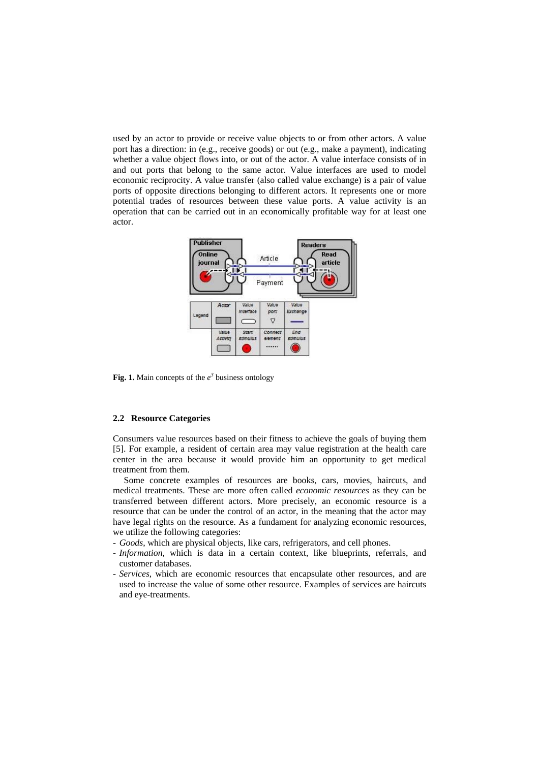used by an actor to provide or receive value objects to or from other actors. A value port has a direction: in (e.g., receive goods) or out (e.g., make a payment), indicating whether a value object flows into, or out of the actor. A value interface consists of in and out ports that belong to the same actor. Value interfaces are used to model economic reciprocity. A value transfer (also called value exchange) is a pair of value ports of opposite directions belonging to different actors. It represents one or more potential trades of resources between these value ports. A value activity is an operation that can be carried out in an economically profitable way for at least one actor.



**Fig. 1.** Main concepts of the  $e^3$  business ontology

#### **2.2 Resource Categories**

Consumers value resources based on their fitness to achieve the goals of buying them [5]. For example, a resident of certain area may value registration at the health care center in the area because it would provide him an opportunity to get medical treatment from them.

Some concrete examples of resources are books, cars, movies, haircuts, and medical treatments. These are more often called *economic resources* as they can be transferred between different actors. More precisely, an economic resource is a resource that can be under the control of an actor, in the meaning that the actor may have legal rights on the resource. As a fundament for analyzing economic resources, we utilize the following categories:

- *Goods*, which are physical objects, like cars, refrigerators, and cell phones.
- *Information*, which is data in a certain context, like blueprints, referrals, and customer databases.
- *Services*, which are economic resources that encapsulate other resources, and are used to increase the value of some other resource. Examples of services are haircuts and eye-treatments.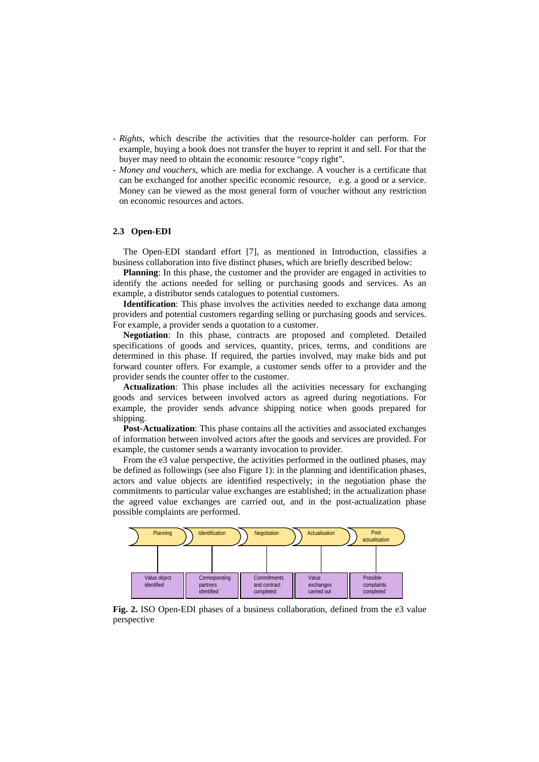- *Rights*, which describe the activities that the resource-holder can perform. For example, buying a book does not transfer the buyer to reprint it and sell. For that the buyer may need to obtain the economic resource "copy right".
- *Money and vouchers*, which are media for exchange. A voucher is a certificate that can be exchanged for another specific economic resource, e.g. a good or a service. Money can be viewed as the most general form of voucher without any restriction on economic resources and actors.

## **2.3 Open-EDI**

The Open-EDI standard effort [7], as mentioned in Introduction, classifies a business collaboration into five distinct phases, which are briefly described below:

**Planning**: In this phase, the customer and the provider are engaged in activities to identify the actions needed for selling or purchasing goods and services. As an example, a distributor sends catalogues to potential customers.

**Identification**: This phase involves the activities needed to exchange data among providers and potential customers regarding selling or purchasing goods and services. For example, a provider sends a quotation to a customer.

**Negotiation**: In this phase, contracts are proposed and completed. Detailed specifications of goods and services, quantity, prices, terms, and conditions are determined in this phase. If required, the parties involved, may make bids and put forward counter offers. For example, a customer sends offer to a provider and the provider sends the counter offer to the customer.

**Actualization**: This phase includes all the activities necessary for exchanging goods and services between involved actors as agreed during negotiations. For example, the provider sends advance shipping notice when goods prepared for shipping.

**Post-Actualization**: This phase contains all the activities and associated exchanges of information between involved actors after the goods and services are provided. For example, the customer sends a warranty invocation to provider.

From the e3 value perspective, the activities performed in the outlined phases, may be defined as followings (see also Figure 1): in the planning and identification phases, actors and value objects are identified respectively; in the negotiation phase the commitments to particular value exchanges are established; in the actualization phase the agreed value exchanges are carried out, and in the post-actualization phase possible complaints are performed.



**Fig. 2.** ISO Open-EDI phases of a business collaboration, defined from the e3 value perspective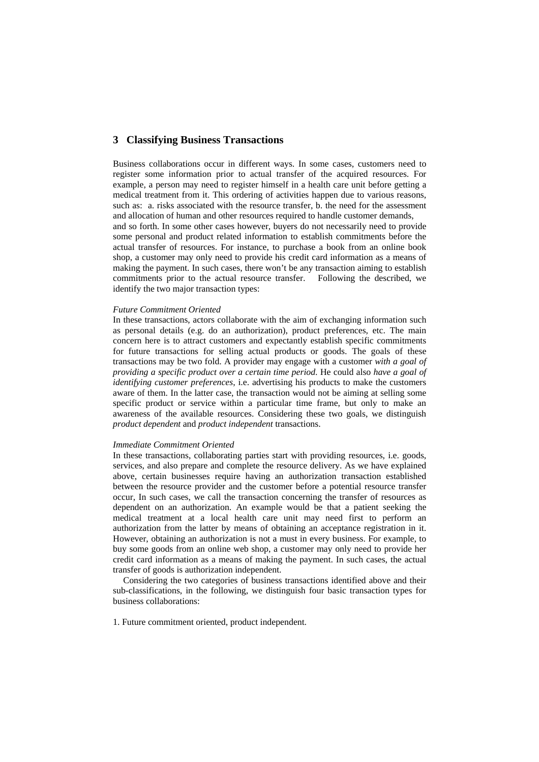## **3 Classifying Business Transactions**

Business collaborations occur in different ways. In some cases, customers need to register some information prior to actual transfer of the acquired resources. For example, a person may need to register himself in a health care unit before getting a medical treatment from it. This ordering of activities happen due to various reasons, such as: a. risks associated with the resource transfer, b. the need for the assessment and allocation of human and other resources required to handle customer demands,

and so forth. In some other cases however, buyers do not necessarily need to provide some personal and product related information to establish commitments before the actual transfer of resources. For instance, to purchase a book from an online book shop, a customer may only need to provide his credit card information as a means of making the payment. In such cases, there won't be any transaction aiming to establish commitments prior to the actual resource transfer. Following the described, we identify the two major transaction types:

#### *Future Commitment Oriented*

In these transactions, actors collaborate with the aim of exchanging information such as personal details (e.g. do an authorization), product preferences, etc. The main concern here is to attract customers and expectantly establish specific commitments for future transactions for selling actual products or goods. The goals of these transactions may be two fold. A provider may engage with a customer *with a goal of providing a specific product over a certain time period*. He could also *have a goal of identifying customer preferences*, i.e. advertising his products to make the customers aware of them. In the latter case, the transaction would not be aiming at selling some specific product or service within a particular time frame, but only to make an awareness of the available resources. Considering these two goals, we distinguish *product dependent* and *product independent* transactions.

### *Immediate Commitment Oriented*

In these transactions, collaborating parties start with providing resources, i.e. goods, services, and also prepare and complete the resource delivery. As we have explained above, certain businesses require having an authorization transaction established between the resource provider and the customer before a potential resource transfer occur, In such cases, we call the transaction concerning the transfer of resources as dependent on an authorization. An example would be that a patient seeking the medical treatment at a local health care unit may need first to perform an authorization from the latter by means of obtaining an acceptance registration in it. However, obtaining an authorization is not a must in every business. For example, to buy some goods from an online web shop, a customer may only need to provide her credit card information as a means of making the payment. In such cases, the actual transfer of goods is authorization independent.

Considering the two categories of business transactions identified above and their sub-classifications, in the following, we distinguish four basic transaction types for business collaborations:

1. Future commitment oriented, product independent.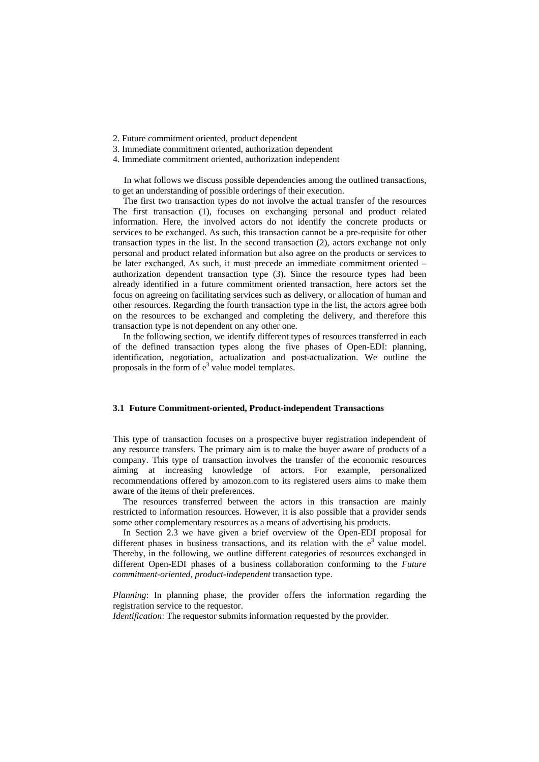- 2. Future commitment oriented, product dependent
- 3. Immediate commitment oriented, authorization dependent
- 4. Immediate commitment oriented, authorization independent

In what follows we discuss possible dependencies among the outlined transactions, to get an understanding of possible orderings of their execution.

The first two transaction types do not involve the actual transfer of the resources The first transaction (1), focuses on exchanging personal and product related information. Here, the involved actors do not identify the concrete products or services to be exchanged. As such, this transaction cannot be a pre-requisite for other transaction types in the list. In the second transaction (2), actors exchange not only personal and product related information but also agree on the products or services to be later exchanged. As such, it must precede an immediate commitment oriented – authorization dependent transaction type (3). Since the resource types had been already identified in a future commitment oriented transaction, here actors set the focus on agreeing on facilitating services such as delivery, or allocation of human and other resources. Regarding the fourth transaction type in the list, the actors agree both on the resources to be exchanged and completing the delivery, and therefore this transaction type is not dependent on any other one.

In the following section, we identify different types of resources transferred in each of the defined transaction types along the five phases of Open-EDI: planning, identification, negotiation, actualization and post-actualization. We outline the proposals in the form of  $e^3$  value model templates.

#### **3.1 Future Commitment-oriented, Product-independent Transactions**

This type of transaction focuses on a prospective buyer registration independent of any resource transfers. The primary aim is to make the buyer aware of products of a company. This type of transaction involves the transfer of the economic resources aiming at increasing knowledge of actors. For example, personalized recommendations offered by amozon.com to its registered users aims to make them aware of the items of their preferences.

The resources transferred between the actors in this transaction are mainly restricted to information resources. However, it is also possible that a provider sends some other complementary resources as a means of advertising his products.

In Section 2.3 we have given a brief overview of the Open-EDI proposal for different phases in business transactions, and its relation with the  $e<sup>3</sup>$  value model. Thereby, in the following, we outline different categories of resources exchanged in different Open-EDI phases of a business collaboration conforming to the *Future commitment-oriented, product-independent* transaction type.

*Planning*: In planning phase, the provider offers the information regarding the registration service to the requestor.

*Identification*: The requestor submits information requested by the provider.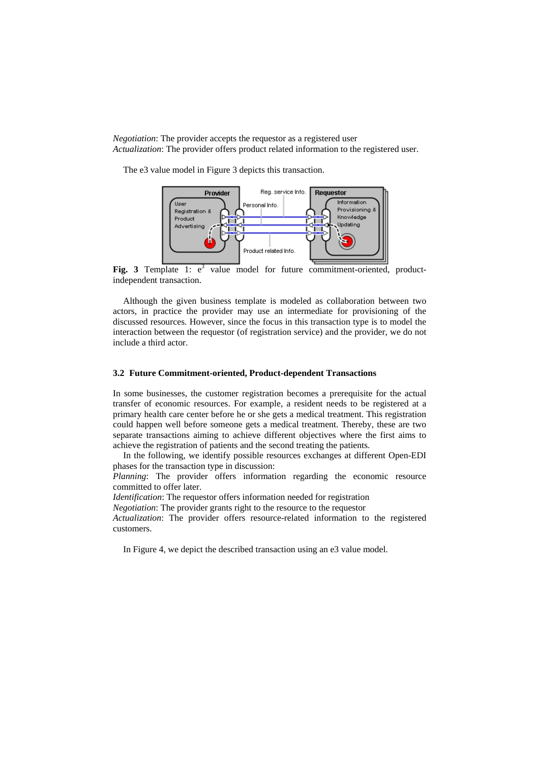*Negotiation*: The provider accepts the requestor as a registered user *Actualization*: The provider offers product related information to the registered user.

The e3 value model in Figure 3 depicts this transaction.



**Fig. 3** Template 1:  $e^3$  value model for future commitment-oriented, productindependent transaction.

Although the given business template is modeled as collaboration between two actors, in practice the provider may use an intermediate for provisioning of the discussed resources. However, since the focus in this transaction type is to model the interaction between the requestor (of registration service) and the provider, we do not include a third actor.

#### **3.2 Future Commitment-oriented, Product-dependent Transactions**

In some businesses, the customer registration becomes a prerequisite for the actual transfer of economic resources. For example, a resident needs to be registered at a primary health care center before he or she gets a medical treatment. This registration could happen well before someone gets a medical treatment. Thereby, these are two separate transactions aiming to achieve different objectives where the first aims to achieve the registration of patients and the second treating the patients.

In the following, we identify possible resources exchanges at different Open-EDI phases for the transaction type in discussion:

*Planning*: The provider offers information regarding the economic resource committed to offer later.

*Identification*: The requestor offers information needed for registration

*Negotiation*: The provider grants right to the resource to the requestor

*Actualization*: The provider offers resource-related information to the registered customers.

In Figure 4, we depict the described transaction using an e3 value model.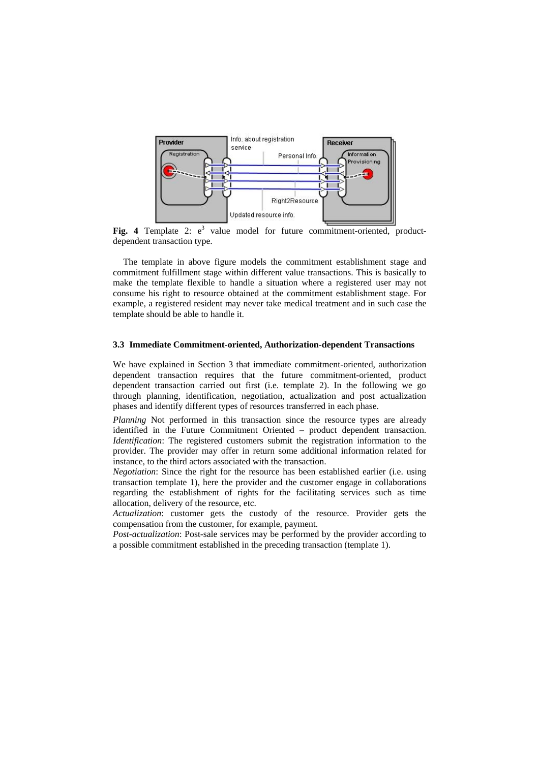

Fig. 4 Template 2:  $e^3$  value model for future commitment-oriented, productdependent transaction type.

The template in above figure models the commitment establishment stage and commitment fulfillment stage within different value transactions. This is basically to make the template flexible to handle a situation where a registered user may not consume his right to resource obtained at the commitment establishment stage. For example, a registered resident may never take medical treatment and in such case the template should be able to handle it.

#### **3.3 Immediate Commitment-oriented, Authorization-dependent Transactions**

We have explained in Section 3 that immediate commitment-oriented, authorization dependent transaction requires that the future commitment-oriented, product dependent transaction carried out first (i.e. template 2). In the following we go through planning, identification, negotiation, actualization and post actualization phases and identify different types of resources transferred in each phase.

*Planning* Not performed in this transaction since the resource types are already identified in the Future Commitment Oriented – product dependent transaction. *Identification*: The registered customers submit the registration information to the provider. The provider may offer in return some additional information related for instance, to the third actors associated with the transaction.

*Negotiation*: Since the right for the resource has been established earlier (i.e. using transaction template 1), here the provider and the customer engage in collaborations regarding the establishment of rights for the facilitating services such as time allocation, delivery of the resource, etc.

*Actualization*: customer gets the custody of the resource. Provider gets the compensation from the customer, for example, payment.

*Post-actualization*: Post-sale services may be performed by the provider according to a possible commitment established in the preceding transaction (template 1).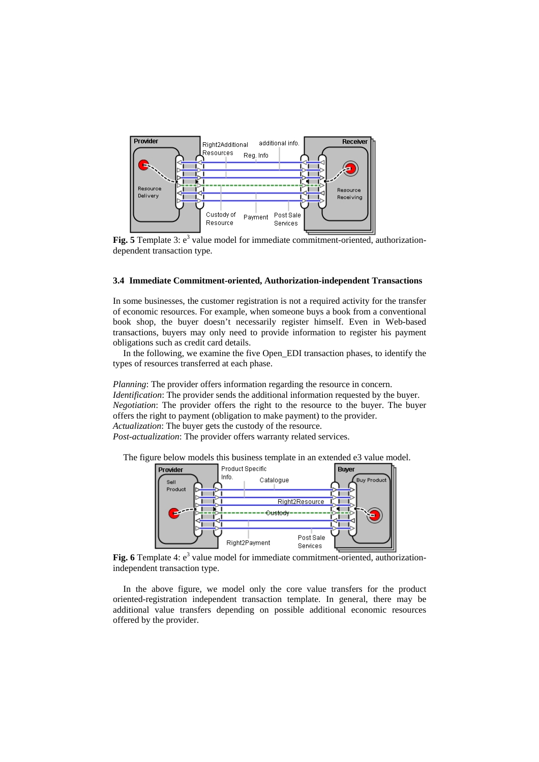

Fig. 5 Template 3: e<sup>3</sup> value model for immediate commitment-oriented, authorizationdependent transaction type.

#### **3.4 Immediate Commitment-oriented, Authorization-independent Transactions**

In some businesses, the customer registration is not a required activity for the transfer of economic resources. For example, when someone buys a book from a conventional book shop, the buyer doesn't necessarily register himself. Even in Web-based transactions, buyers may only need to provide information to register his payment obligations such as credit card details.

In the following, we examine the five Open\_EDI transaction phases, to identify the types of resources transferred at each phase.

*Planning*: The provider offers information regarding the resource in concern. *Identification*: The provider sends the additional information requested by the buyer. *Negotiation*: The provider offers the right to the resource to the buyer. The buyer offers the right to payment (obligation to make payment) to the provider. *Actualization*: The buyer gets the custody of the resource.

*Post*-*actualization*: The provider offers warranty related services.

The figure below models this business template in an extended e3 value model.



Fig. 6 Template 4: e<sup>3</sup> value model for immediate commitment-oriented, authorizationindependent transaction type.

In the above figure, we model only the core value transfers for the product oriented-registration independent transaction template. In general, there may be additional value transfers depending on possible additional economic resources offered by the provider.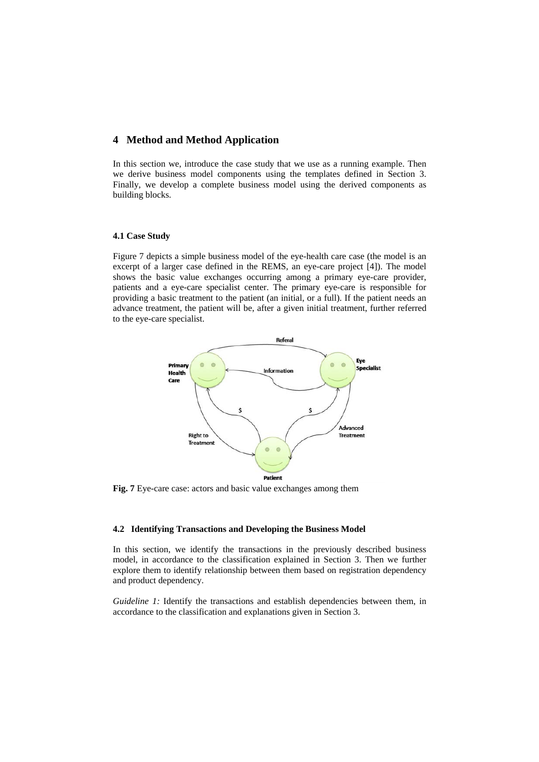## **4 Method and Method Application**

In this section we, introduce the case study that we use as a running example. Then we derive business model components using the templates defined in Section 3. Finally, we develop a complete business model using the derived components as building blocks.

#### **4.1 Case Study**

Figure 7 depicts a simple business model of the eye-health care case (the model is an excerpt of a larger case defined in the REMS, an eye-care project [4]). The model shows the basic value exchanges occurring among a primary eye-care provider, patients and a eye-care specialist center. The primary eye-care is responsible for providing a basic treatment to the patient (an initial, or a full). If the patient needs an advance treatment, the patient will be, after a given initial treatment, further referred to the eye-care specialist.



**Fig. 7** Eye-care case: actors and basic value exchanges among them

### **4.2 Identifying Transactions and Developing the Business Model**

In this section, we identify the transactions in the previously described business model, in accordance to the classification explained in Section 3. Then we further explore them to identify relationship between them based on registration dependency and product dependency.

*Guideline 1:* Identify the transactions and establish dependencies between them, in accordance to the classification and explanations given in Section 3.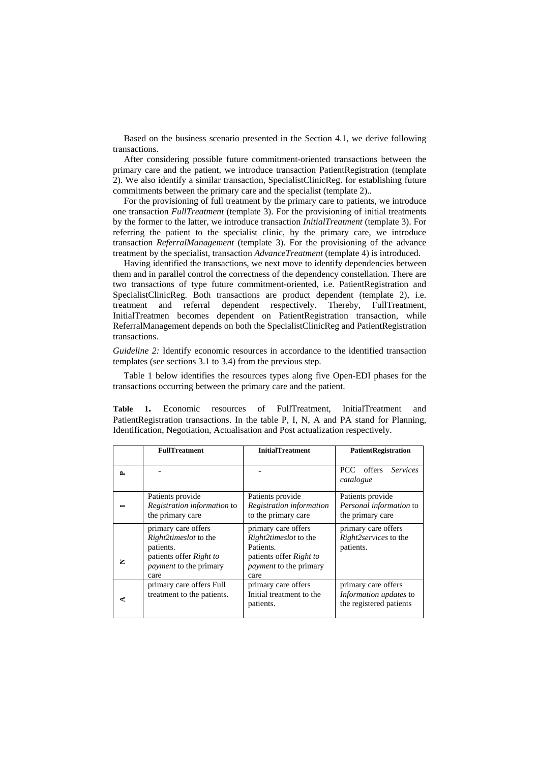Based on the business scenario presented in the Section 4.1, we derive following transactions.

After considering possible future commitment-oriented transactions between the primary care and the patient, we introduce transaction PatientRegistration (template 2). We also identify a similar transaction, SpecialistClinicReg. for establishing future commitments between the primary care and the specialist (template 2)..

For the provisioning of full treatment by the primary care to patients, we introduce one transaction *FullTreatment* (template 3). For the provisioning of initial treatments by the former to the latter, we introduce transaction *InitialTreatment* (template 3). For referring the patient to the specialist clinic, by the primary care, we introduce transaction *ReferralManagement* (template 3). For the provisioning of the advance treatment by the specialist, transaction *AdvanceTreatment* (template 4) is introduced.

Having identified the transactions, we next move to identify dependencies between them and in parallel control the correctness of the dependency constellation. There are two transactions of type future commitment-oriented, i.e. PatientRegistration and SpecialistClinicReg. Both transactions are product dependent (template 2), i.e. treatment and referral dependent respectively. Thereby, FullTreatment, InitialTreatmen becomes dependent on PatientRegistration transaction, while ReferralManagement depends on both the SpecialistClinicReg and PatientRegistration transactions.

*Guideline 2:* Identify economic resources in accordance to the identified transaction templates (see sections 3.1 to 3.4) from the previous step.

Table 1 below identifies the resources types along five Open-EDI phases for the transactions occurring between the primary care and the patient.

**Table 1.** Economic resources of FullTreatment, InitialTreatment and PatientRegistration transactions. In the table P, I, N, A and PA stand for Planning, Identification, Negotiation, Actualisation and Post actualization respectively.

|        | <b>FullTreatment</b>                                                                                                                 | <b>InitialTreatment</b>                                                                                                              | <b>PatientRegistration</b>                                               |
|--------|--------------------------------------------------------------------------------------------------------------------------------------|--------------------------------------------------------------------------------------------------------------------------------------|--------------------------------------------------------------------------|
| $\sim$ |                                                                                                                                      |                                                                                                                                      | PCC offers Services<br>catalogue                                         |
|        | Patients provide<br>Registration information to<br>the primary care                                                                  | Patients provide<br>Registration information<br>to the primary care                                                                  | Patients provide<br>Personal information to<br>the primary care          |
| z      | primary care offers<br><i>Right2timeslot</i> to the<br>patients.<br>patients offer Right to<br><i>payment</i> to the primary<br>care | primary care offers<br><i>Right2timeslot</i> to the<br>Patients.<br>patients offer Right to<br><i>payment</i> to the primary<br>care | primary care offers<br><i>Right2services</i> to the<br>patients.         |
| C.     | primary care offers Full<br>treatment to the patients.                                                                               | primary care offers<br>Initial treatment to the<br>patients.                                                                         | primary care offers<br>Information updates to<br>the registered patients |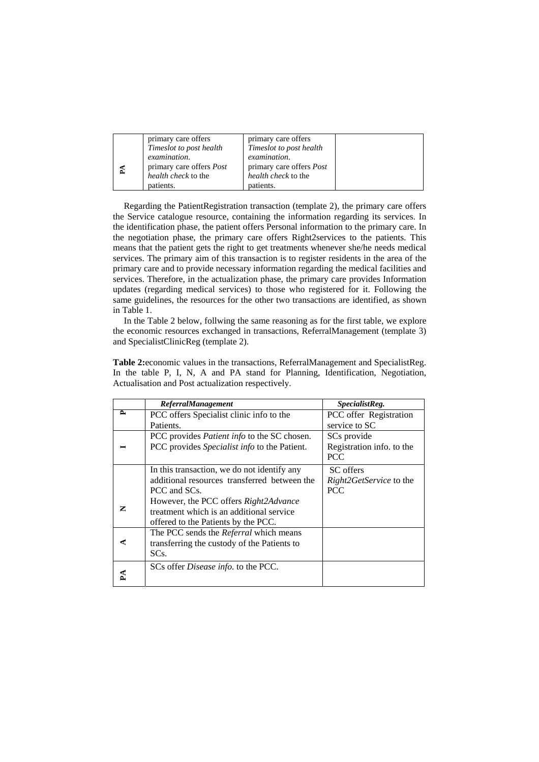|   | primary care offers<br>Timeslot to post health                                | primary care offers<br>Timeslot to post health                         |  |
|---|-------------------------------------------------------------------------------|------------------------------------------------------------------------|--|
| Ã | examination.<br>primary care offers <i>Post</i><br><i>health check</i> to the | examination.<br>primary care offers <i>Post</i><br>health check to the |  |
|   | patients.                                                                     | patients.                                                              |  |

Regarding the PatientRegistration transaction (template 2), the primary care offers the Service catalogue resource, containing the information regarding its services. In the identification phase, the patient offers Personal information to the primary care. In the negotiation phase, the primary care offers Right2services to the patients. This means that the patient gets the right to get treatments whenever she/he needs medical services. The primary aim of this transaction is to register residents in the area of the primary care and to provide necessary information regarding the medical facilities and services. Therefore, in the actualization phase, the primary care provides Information updates (regarding medical services) to those who registered for it. Following the same guidelines, the resources for the other two transactions are identified, as shown in Table 1.

In the Table 2 below, follwing the same reasoning as for the first table, we explore the economic resources exchanged in transactions, ReferralManagement (template 3) and SpecialistClinicReg (template 2).

**Table 2:**economic values in the transactions, ReferralManagement and SpecialistReg. In the table P, I, N, A and PA stand for Planning, Identification, Negotiation, Actualisation and Post actualization respectively.

|   | <b>ReferralManagement</b>                          | SpecialistReg.                 |
|---|----------------------------------------------------|--------------------------------|
| ≏ | PCC offers Specialist clinic info to the           | PCC offer Registration         |
|   | Patients.                                          | service to SC                  |
|   | PCC provides <i>Patient info</i> to the SC chosen. | SC <sub>s</sub> provide        |
|   | PCC provides Specialist info to the Patient.       | Registration info. to the      |
|   |                                                    | <b>PCC</b>                     |
|   | In this transaction, we do not identify any        | SC offers                      |
|   | additional resources transferred between the       | <i>Right2GetService</i> to the |
|   | PCC and SCs.                                       | <b>PCC</b>                     |
|   | However, the PCC offers Right2Advance              |                                |
| z | treatment which is an additional service           |                                |
|   | offered to the Patients by the PCC.                |                                |
|   | The PCC sends the Referral which means             |                                |
|   | transferring the custody of the Patients to        |                                |
|   | SCs.                                               |                                |
|   | SCs offer Disease info. to the PCC.                |                                |
|   |                                                    |                                |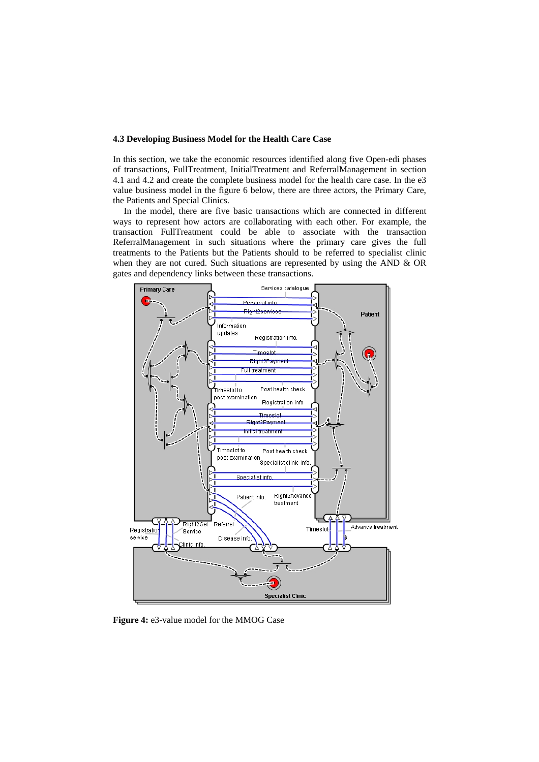### **4.3 Developing Business Model for the Health Care Case**

In this section, we take the economic resources identified along five Open-edi phases of transactions, FullTreatment, InitialTreatment and ReferralManagement in section 4.1 and 4.2 and create the complete business model for the health care case. In the e3 value business model in the figure 6 below, there are three actors, the Primary Care, the Patients and Special Clinics.

In the model, there are five basic transactions which are connected in different ways to represent how actors are collaborating with each other. For example, the transaction FullTreatment could be able to associate with the transaction ReferralManagement in such situations where the primary care gives the full treatments to the Patients but the Patients should to be referred to specialist clinic when they are not cured. Such situations are represented by using the AND & OR gates and dependency links between these transactions.



**Figure 4:** e3-value model for the MMOG Case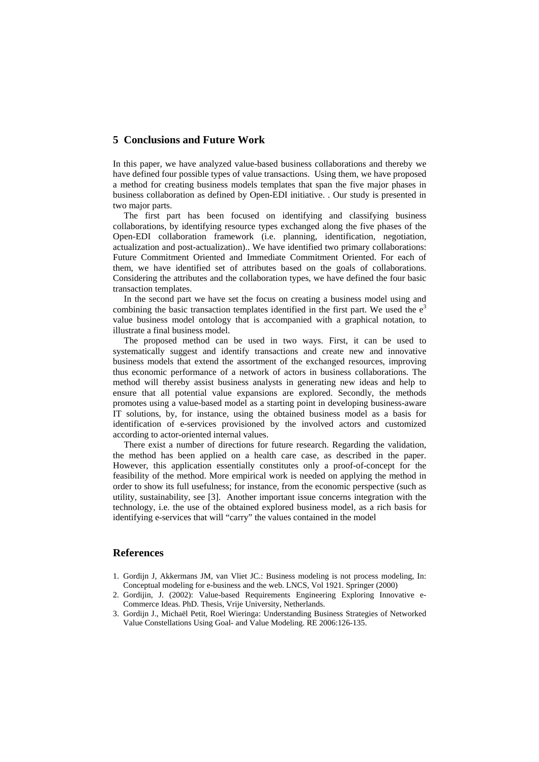## **5 Conclusions and Future Work**

In this paper, we have analyzed value-based business collaborations and thereby we have defined four possible types of value transactions. Using them, we have proposed a method for creating business models templates that span the five major phases in business collaboration as defined by Open-EDI initiative. . Our study is presented in two major parts.

The first part has been focused on identifying and classifying business collaborations, by identifying resource types exchanged along the five phases of the Open-EDI collaboration framework (i.e. planning, identification, negotiation, actualization and post-actualization).. We have identified two primary collaborations: Future Commitment Oriented and Immediate Commitment Oriented. For each of them, we have identified set of attributes based on the goals of collaborations. Considering the attributes and the collaboration types, we have defined the four basic transaction templates.

In the second part we have set the focus on creating a business model using and combining the basic transaction templates identified in the first part. We used the  $e<sup>3</sup>$ value business model ontology that is accompanied with a graphical notation, to illustrate a final business model.

The proposed method can be used in two ways. First, it can be used to systematically suggest and identify transactions and create new and innovative business models that extend the assortment of the exchanged resources, improving thus economic performance of a network of actors in business collaborations. The method will thereby assist business analysts in generating new ideas and help to ensure that all potential value expansions are explored. Secondly, the methods promotes using a value-based model as a starting point in developing business-aware IT solutions, by, for instance, using the obtained business model as a basis for identification of e-services provisioned by the involved actors and customized according to actor-oriented internal values.

There exist a number of directions for future research. Regarding the validation, the method has been applied on a health care case, as described in the paper. However, this application essentially constitutes only a proof-of-concept for the feasibility of the method. More empirical work is needed on applying the method in order to show its full usefulness; for instance, from the economic perspective (such as utility, sustainability, see [3]. Another important issue concerns integration with the technology, i.e. the use of the obtained explored business model, as a rich basis for identifying e-services that will "carry" the values contained in the model

## **References**

- 1. Gordijn J, Akkermans JM, van Vliet JC.: Business modeling is not process modeling, In: Conceptual modeling for e-business and the web. LNCS, Vol 1921. Springer (2000)
- 2. Gordijin, J. (2002): Value-based Requirements Engineering Exploring Innovative e-Commerce Ideas. PhD. Thesis, Vrije University, Netherlands.
- 3. Gordijn J., Michaël Petit, Roel Wieringa: Understanding Business Strategies of Networked Value Constellations Using Goal- and Value Modeling. RE 2006:126-135.